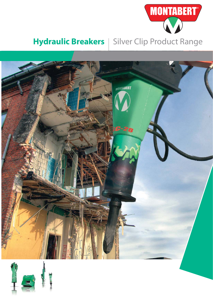

## **Hydraulic Breakers** | Silver Clip Product Range



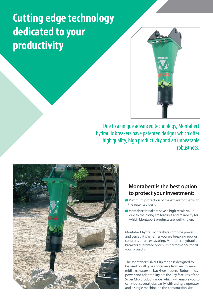## **Cutting edge technology dedicated to your productivity**



Due to a unique advanced technology, Montabert hydraulic breakers have patented designs which offer high quality, high productivity and an unbeatable robustness.



## **Montabert is the best option to protect your investment:**

- **Maximum protection of the excavator thanks to** the patented design.
- Montabert breakers have a high resale value due to their long life features and reliability for which Montabert products are well-known.

Montabert hydraulic breakers combine power and versatility. Whether you are breaking rock or concrete, or are excavating, Montabert hydraulic breakers guarantee optimum performance for all your projects.

The Montabert Silver Clip range is designed to be used on all types of carriers from micro, mini, midi excavators to backhoe loaders. Robustness, power and adaptability are the key features of the Silver Clip product range, which will enable you to carry out several jobs easily with a single operator and a single machine on the construction site.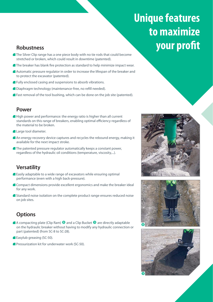## **Unique features to maximize Robustness** *Robustness your profit*

- **The Silver Clip range has a one piece body with no tie rods that could become** stretched or broken, which could result in downtime (patented).
- **The breaker has blank fire protection as standard to help minimize impact wear.**
- Automatic pressure regulator in order to increase the lifespan of the breaker and to protect the excavator (patented).
- **Fully enclosed casing and suspensions to absorb vibrations.**
- Diaphragm technology (maintenance-free, no refill needed).
- **Fast removal of the tool bushing, which can be done on the job site (patented).**

### **Power**

- High power and performance: the energy ratio is higher than all current standards on this range of breakers, enabling optimal efficiency regardless of the material to be broken.
- Large tool diameter.
- An energy recovery device captures and recycles the rebound energy, making it available for the next impact stroke.
- The patented pressure regulator automatically keeps a constant power, regardless of the hydraulic oil conditions (temperature, viscosity,...).

### **Versatility**

- Easily adaptable to a wide range of excavators while ensuring optimal performance (even with a high back-pressure).
- **Compact dimensions provide excellent ergonomics and make the breaker ideal** for any work.
- **Standard noise isolation on the complete product range ensures reduced noise** on job sites.

## **Options**

- A compacting plate (Clip Ram)  $\Theta$  and a Clip Bucket  $\Theta$  are directly adaptable on the hydraulic breaker without having to modify any hydraulic connection or part (patented) (from SC-8 to SC-28).
- **Easylub greasing (SC-50).**
- **Pressurization kit for underwater work (SC-50).**





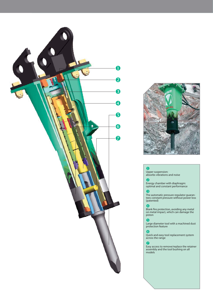



#### Ω

Upper suspension: absorbs vibrations and noise

#### $\boldsymbol{Q}$

 Energy chamber with diaphragm: optimal and constant performance

#### Q

The automatic pressure regulator guarantees constant pressure without power loss (patented)

#### $\epsilon$

Blank fire protection, avoiding any metal on metal impact, which can damage the piston

#### 6

Large diameter tool with a machined dust protection feature

#### 6

Quick and easy tool replacement system across the range

### $\overline{P}$

Easy access to remove/replace the retainer assembly and the tool bushing on all models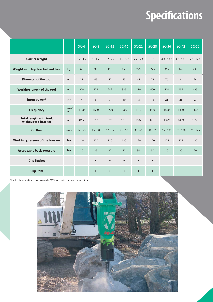# **Specifi cations**

|                                                |               | $SC-6$         | $SC-8$    | $SC-12$        | $SC-16$     | $SC-22$     | $SC-28$   | $SC-36$      | $SC-42$      | $SC-50$      |
|------------------------------------------------|---------------|----------------|-----------|----------------|-------------|-------------|-----------|--------------|--------------|--------------|
| <b>Carrier weight</b>                          | t             | $0.7 - 1.2$    | $1 - 1.7$ | $1.2 - 2.2$    | $1.5 - 3.7$ | $2.2 - 5.3$ | $3 - 7.5$ | $4.0 - 10.0$ | $4.0 - 12.0$ | $7.0 - 12.0$ |
| Weight with top bracket and tool               | kg            | 65             | 90        | 110            | 150         | 225         | 275       | 365          | 445          | 498          |
| <b>Diameter of the tool</b>                    | mm            | 37             | 45        | 47             | 55          | 65          | 72        | 76           | 84           | 94           |
| Working length of the tool                     | mm            | 270            | 279       | 289            | 335         | 370         | 400       | 400          | 439          | 425          |
| Input power*                                   | kW            | $\overline{4}$ | 6         | $\overline{7}$ | 10          | 13          | 15        | 21           | 25           | 27           |
| <b>Frequency</b>                               | blows/<br>min | 1150           | 1600      | 1700           | 1500        | 1310        | 1420      | 1550         | 1450         | 1137         |
| Total length with tool,<br>without top bracket | mm            | 865            | 897       | 926            | 1036        | 1182        | 1263      | 1379         | 1499         | 1550         |
| Oil flow                                       | l/min         | $12 - 23$      | $15 - 30$ | $17 - 35$      | $25 - 50$   | $30 - 65$   | $40 - 75$ | $55 - 100$   | $70 - 120$   | $75 - 125$   |
| Working pressure of the breaker                | bar           | 110            | 120       | 120            | 120         | 120         | 120       | 125          | 125          | 130          |
| <b>Acceptable back-pressure</b>                | bar           | 20             | 35        | 32             | 32          | 30          | 30        | 20           | 20           | 20           |
| <b>Clip Bucket</b>                             |               |                | $\bullet$ | $\bullet$      | $\bullet$   | $\bullet$   | $\bullet$ |              |              |              |
| <b>Clip Ram</b>                                |               |                | $\bullet$ | $\bullet$      | $\bullet$   | $\bullet$   | $\bullet$ |              |              |              |

\* Possible increase of the breaker's power by 50% thanks to the energy recovery system.